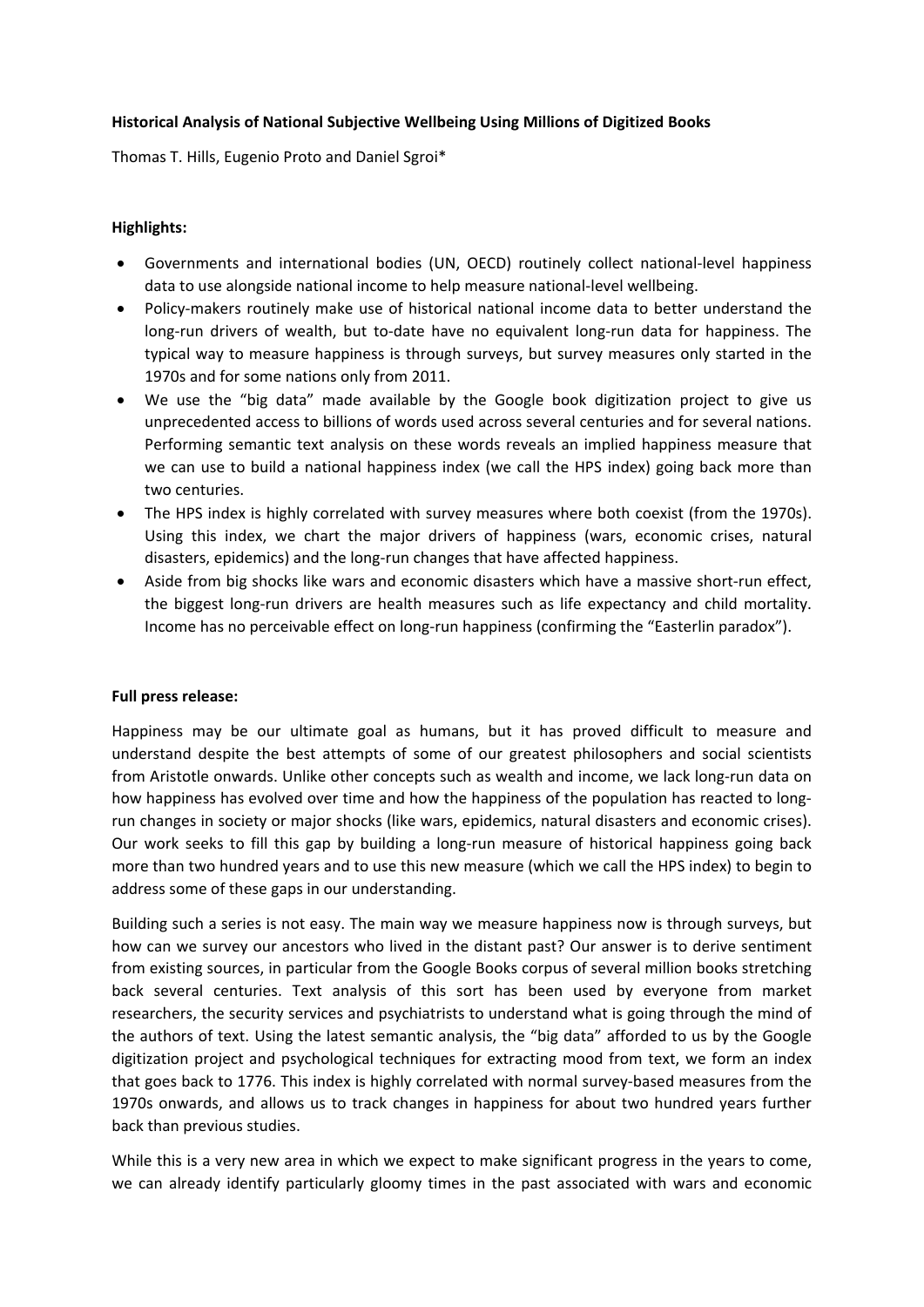## **Historical Analysis of National Subjective Wellbeing Using Millions of Digitized Books**

Thomas T. Hills, Eugenio Proto and Daniel Sgroi\*

## **Highlights:**

- Governments and international bodies (UN, OECD) routinely collect national‐level happiness data to use alongside national income to help measure national‐level wellbeing.
- Policy‐makers routinely make use of historical national income data to better understand the long-run drivers of wealth, but to-date have no equivalent long-run data for happiness. The typical way to measure happiness is through surveys, but survey measures only started in the 1970s and for some nations only from 2011.
- We use the "big data" made available by the Google book digitization project to give us unprecedented access to billions of words used across several centuries and for several nations. Performing semantic text analysis on these words reveals an implied happiness measure that we can use to build a national happiness index (we call the HPS index) going back more than two centuries.
- The HPS index is highly correlated with survey measures where both coexist (from the 1970s). Using this index, we chart the major drivers of happiness (wars, economic crises, natural disasters, epidemics) and the long‐run changes that have affected happiness.
- Aside from big shocks like wars and economic disasters which have a massive short-run effect, the biggest long-run drivers are health measures such as life expectancy and child mortality. Income has no perceivable effect on long-run happiness (confirming the "Easterlin paradox").

## **Full press release:**

Happiness may be our ultimate goal as humans, but it has proved difficult to measure and understand despite the best attempts of some of our greatest philosophers and social scientists from Aristotle onwards. Unlike other concepts such as wealth and income, we lack long-run data on how happiness has evolved over time and how the happiness of the population has reacted to longrun changes in society or major shocks (like wars, epidemics, natural disasters and economic crises). Our work seeks to fill this gap by building a long-run measure of historical happiness going back more than two hundred years and to use this new measure (which we call the HPS index) to begin to address some of these gaps in our understanding.

Building such a series is not easy. The main way we measure happiness now is through surveys, but how can we survey our ancestors who lived in the distant past? Our answer is to derive sentiment from existing sources, in particular from the Google Books corpus of several million books stretching back several centuries. Text analysis of this sort has been used by everyone from market researchers, the security services and psychiatrists to understand what is going through the mind of the authors of text. Using the latest semantic analysis, the "big data" afforded to us by the Google digitization project and psychological techniques for extracting mood from text, we form an index that goes back to 1776. This index is highly correlated with normal survey‐based measures from the 1970s onwards, and allows us to track changes in happiness for about two hundred years further back than previous studies.

While this is a very new area in which we expect to make significant progress in the years to come, we can already identify particularly gloomy times in the past associated with wars and economic